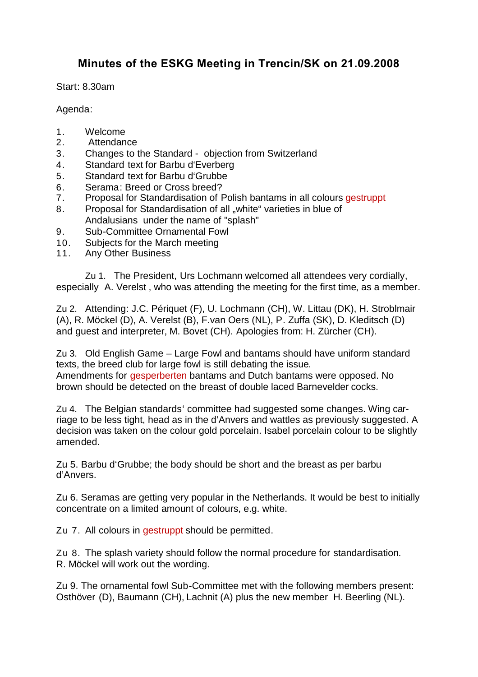## **Minutes of the ESKG Meeting in Trencin/SK on 21.09.2008**

Start: 8.30am

Agenda:

- 1. Welcome
- 2. Attendance
- 3. Changes to the Standard objection from Switzerland
- 4. Standard text for Barbu d'Everberg
- 5. Standard text for Barbu d'Grubbe
- 
- 6. Serama: Breed or Cross breed?<br>7. Proposal for Standardisation of F Proposal for Standardisation of Polish bantams in all colours gestruppt
- 8. Proposal for Standardisation of all "white" varieties in blue of Andalusians under the name of "splash"
- 9. Sub-Committee Ornamental Fowl
- 10. Subjects for the March meeting
- 11. Any Other Business

Zu 1. The President, Urs Lochmann welcomed all attendees very cordially, especially A. Verelst , who was attending the meeting for the first time, as a member.

Zu 2. Attending: J.C. Périquet (F), U. Lochmann (CH), W. Littau (DK), H. Stroblmair (A), R. Möckel (D), A. Verelst (B), F.van Oers (NL), P. Zuffa (SK), D. Kleditsch (D) and guest and interpreter, M. Bovet (CH). Apologies from: H. Zürcher (CH).

Zu 3. Old English Game – Large Fowl and bantams should have uniform standard texts, the breed club for large fowl is still debating the issue. Amendments for gesperberten bantams and Dutch bantams were opposed. No

brown should be detected on the breast of double laced Barnevelder cocks.

Zu 4. The Belgian standards' committee had suggested some changes. Wing carriage to be less tight, head as in the d'Anvers and wattles as previously suggested. A decision was taken on the colour gold porcelain. Isabel porcelain colour to be slightly amended.

Zu 5. Barbu d'Grubbe; the body should be short and the breast as per barbu d'Anvers.

Zu 6. Seramas are getting very popular in the Netherlands. It would be best to initially concentrate on a limited amount of colours, e.g. white.

Zu 7. All colours in gestruppt should be permitted.

Zu 8. The splash variety should follow the normal procedure for standardisation. R. Möckel will work out the wording.

Zu 9. The ornamental fowl Sub-Committee met with the following members present: Osthöver (D), Baumann (CH), Lachnit (A) plus the new member H. Beerling (NL).